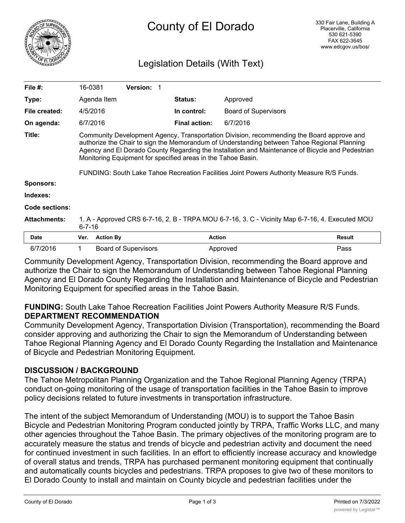

# Legislation Details (With Text)

| <b>Status:</b><br>Type:<br>Agenda Item<br>Approved<br>In control:<br>File created:<br>4/5/2016<br><b>Board of Supervisors</b><br><b>Final action:</b><br>On agenda:<br>6/7/2016<br>6/7/2016<br>Title:<br>Community Development Agency, Transportation Division, recommending the Board approve and<br>authorize the Chair to sign the Memorandum of Understanding between Tahoe Regional Planning<br>Agency and El Dorado County Regarding the Installation and Maintenance of Bicycle and Pedestrian<br>Monitoring Equipment for specified areas in the Tahoe Basin.<br>FUNDING: South Lake Tahoe Recreation Facilities Joint Powers Authority Measure R/S Funds.<br><b>Sponsors:</b><br>Indexes:<br><b>Code sections:</b><br><b>Attachments:</b><br>1. A - Approved CRS 6-7-16, 2. B - TRPA MOU 6-7-16, 3. C - Vicinity Map 6-7-16, 4. Executed MOU<br>$6 - 7 - 16$<br><b>Action By</b><br><b>Action</b><br>Result<br><b>Date</b><br>Ver.<br>6/7/2016<br><b>Board of Supervisors</b><br>Approved<br>Pass | File $#$ : | 16-0381 | <b>Version: 1</b> |  |  |  |
|------------------------------------------------------------------------------------------------------------------------------------------------------------------------------------------------------------------------------------------------------------------------------------------------------------------------------------------------------------------------------------------------------------------------------------------------------------------------------------------------------------------------------------------------------------------------------------------------------------------------------------------------------------------------------------------------------------------------------------------------------------------------------------------------------------------------------------------------------------------------------------------------------------------------------------------------------------------------------------------------------------|------------|---------|-------------------|--|--|--|
|                                                                                                                                                                                                                                                                                                                                                                                                                                                                                                                                                                                                                                                                                                                                                                                                                                                                                                                                                                                                            |            |         |                   |  |  |  |
|                                                                                                                                                                                                                                                                                                                                                                                                                                                                                                                                                                                                                                                                                                                                                                                                                                                                                                                                                                                                            |            |         |                   |  |  |  |
|                                                                                                                                                                                                                                                                                                                                                                                                                                                                                                                                                                                                                                                                                                                                                                                                                                                                                                                                                                                                            |            |         |                   |  |  |  |
|                                                                                                                                                                                                                                                                                                                                                                                                                                                                                                                                                                                                                                                                                                                                                                                                                                                                                                                                                                                                            |            |         |                   |  |  |  |
|                                                                                                                                                                                                                                                                                                                                                                                                                                                                                                                                                                                                                                                                                                                                                                                                                                                                                                                                                                                                            |            |         |                   |  |  |  |
|                                                                                                                                                                                                                                                                                                                                                                                                                                                                                                                                                                                                                                                                                                                                                                                                                                                                                                                                                                                                            |            |         |                   |  |  |  |
|                                                                                                                                                                                                                                                                                                                                                                                                                                                                                                                                                                                                                                                                                                                                                                                                                                                                                                                                                                                                            |            |         |                   |  |  |  |
|                                                                                                                                                                                                                                                                                                                                                                                                                                                                                                                                                                                                                                                                                                                                                                                                                                                                                                                                                                                                            |            |         |                   |  |  |  |
|                                                                                                                                                                                                                                                                                                                                                                                                                                                                                                                                                                                                                                                                                                                                                                                                                                                                                                                                                                                                            |            |         |                   |  |  |  |
|                                                                                                                                                                                                                                                                                                                                                                                                                                                                                                                                                                                                                                                                                                                                                                                                                                                                                                                                                                                                            |            |         |                   |  |  |  |

Community Development Agency, Transportation Division, recommending the Board approve and authorize the Chair to sign the Memorandum of Understanding between Tahoe Regional Planning Agency and El Dorado County Regarding the Installation and Maintenance of Bicycle and Pedestrian Monitoring Equipment for specified areas in the Tahoe Basin.

**FUNDING:** South Lake Tahoe Recreation Facilities Joint Powers Authority Measure R/S Funds. **DEPARTMENT RECOMMENDATION**

Community Development Agency, Transportation Division (Transportation), recommending the Board consider approving and authorizing the Chair to sign the Memorandum of Understanding between Tahoe Regional Planning Agency and El Dorado County Regarding the Installation and Maintenance of Bicycle and Pedestrian Monitoring Equipment.

# **DISCUSSION / BACKGROUND**

The Tahoe Metropolitan Planning Organization and the Tahoe Regional Planning Agency (TRPA) conduct on-going monitoring of the usage of transportation facilities in the Tahoe Basin to improve policy decisions related to future investments in transportation infrastructure.

The intent of the subject Memorandum of Understanding (MOU) is to support the Tahoe Basin Bicycle and Pedestrian Monitoring Program conducted jointly by TRPA, Traffic Works LLC, and many other agencies throughout the Tahoe Basin. The primary objectives of the monitoring program are to accurately measure the status and trends of bicycle and pedestrian activity and document the need for continued investment in such facilities. In an effort to efficiently increase accuracy and knowledge of overall status and trends, TRPA has purchased permanent monitoring equipment that continually and automatically counts bicycles and pedestrians. TRPA proposes to give two of these monitors to El Dorado County to install and maintain on County bicycle and pedestrian facilities under the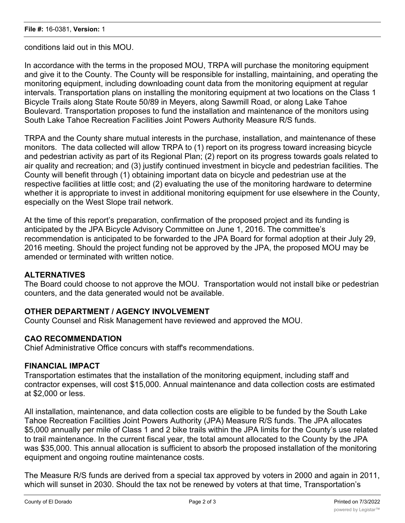conditions laid out in this MOU.

In accordance with the terms in the proposed MOU, TRPA will purchase the monitoring equipment and give it to the County. The County will be responsible for installing, maintaining, and operating the monitoring equipment, including downloading count data from the monitoring equipment at regular intervals. Transportation plans on installing the monitoring equipment at two locations on the Class 1 Bicycle Trails along State Route 50/89 in Meyers, along Sawmill Road, or along Lake Tahoe Boulevard. Transportation proposes to fund the installation and maintenance of the monitors using South Lake Tahoe Recreation Facilities Joint Powers Authority Measure R/S funds.

TRPA and the County share mutual interests in the purchase, installation, and maintenance of these monitors. The data collected will allow TRPA to (1) report on its progress toward increasing bicycle and pedestrian activity as part of its Regional Plan; (2) report on its progress towards goals related to air quality and recreation; and (3) justify continued investment in bicycle and pedestrian facilities. The County will benefit through (1) obtaining important data on bicycle and pedestrian use at the respective facilities at little cost; and (2) evaluating the use of the monitoring hardware to determine whether it is appropriate to invest in additional monitoring equipment for use elsewhere in the County, especially on the West Slope trail network.

At the time of this report's preparation, confirmation of the proposed project and its funding is anticipated by the JPA Bicycle Advisory Committee on June 1, 2016. The committee's recommendation is anticipated to be forwarded to the JPA Board for formal adoption at their July 29, 2016 meeting. Should the project funding not be approved by the JPA, the proposed MOU may be amended or terminated with written notice.

#### **ALTERNATIVES**

The Board could choose to not approve the MOU. Transportation would not install bike or pedestrian counters, and the data generated would not be available.

#### **OTHER DEPARTMENT / AGENCY INVOLVEMENT**

County Counsel and Risk Management have reviewed and approved the MOU.

#### **CAO RECOMMENDATION**

Chief Administrative Office concurs with staff's recommendations.

#### **FINANCIAL IMPACT**

Transportation estimates that the installation of the monitoring equipment, including staff and contractor expenses, will cost \$15,000. Annual maintenance and data collection costs are estimated at \$2,000 or less.

All installation, maintenance, and data collection costs are eligible to be funded by the South Lake Tahoe Recreation Facilities Joint Powers Authority (JPA) Measure R/S funds. The JPA allocates \$5,000 annually per mile of Class 1 and 2 bike trails within the JPA limits for the County's use related to trail maintenance. In the current fiscal year, the total amount allocated to the County by the JPA was \$35,000. This annual allocation is sufficient to absorb the proposed installation of the monitoring equipment and ongoing routine maintenance costs.

The Measure R/S funds are derived from a special tax approved by voters in 2000 and again in 2011, which will sunset in 2030. Should the tax not be renewed by voters at that time, Transportation's